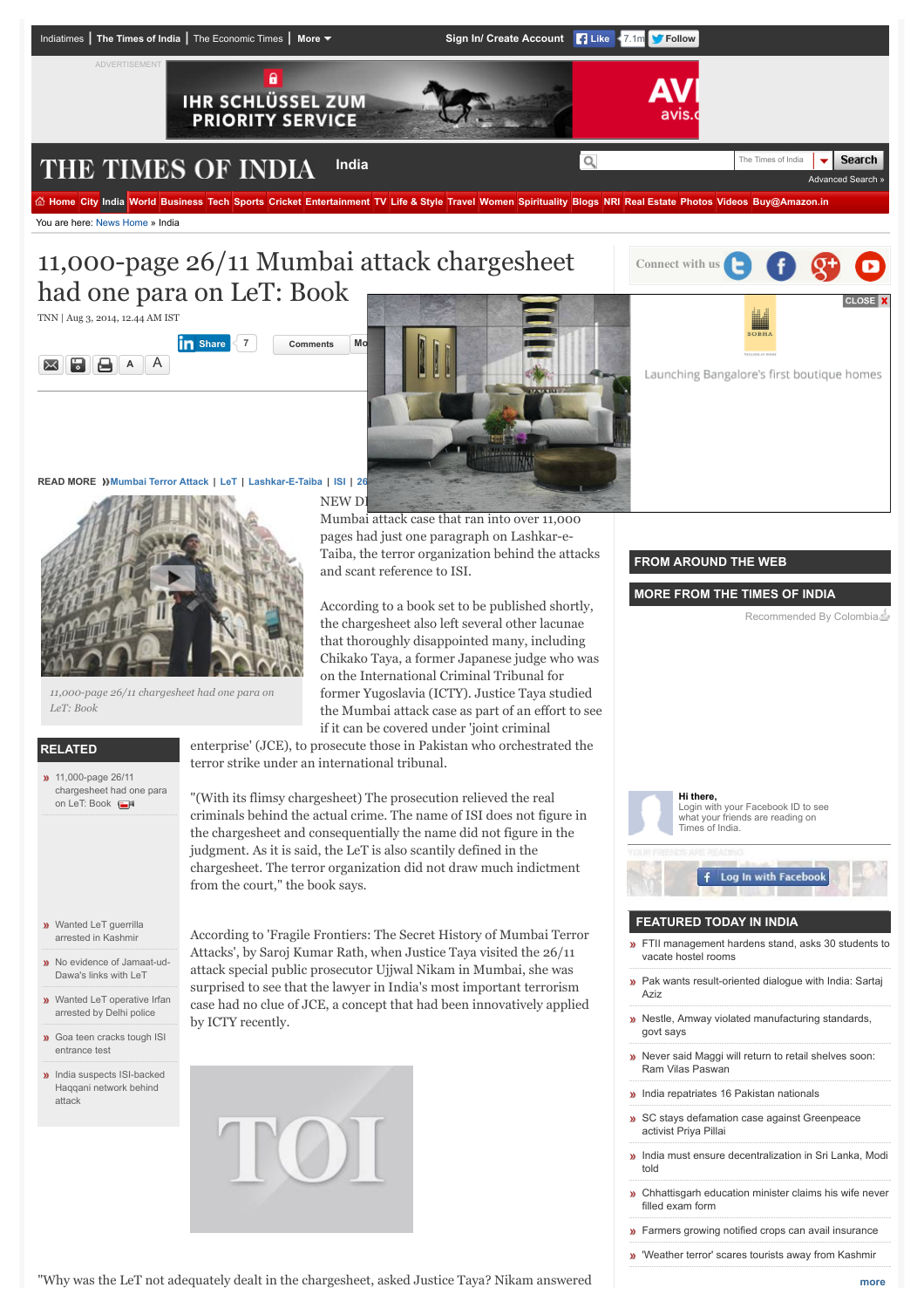

*11,000-page 26/11 chargesheet had one para on LeT: Book*

# **RELATED**

**11,000-page 26/11** [chargesheet had one para](http://timesofindia.indiatimes.com/videos/news/11000-page-26/11-chargesheet-had-one-para-on-LeT-Book/videoshow/39526582.cms) on LeT: Book

**w** [Wanted LeT guerrilla](http://timesofindia.indiatimes.com/city/srinagar/Wanted-LeT-guerrilla-arrested-in-Kashmir/articleshow/48282550.cms) arrested in Kashmir

- **»** [No evidence of Jamaat-ud-](http://timesofindia.indiatimes.com/world/pakistan/No-evidence-of-Jamaat-ud-Dawas-links-with-LeT/articleshow/47986872.cms)Dawa's links with LeT
- [Wanted LeT operative Irfan](http://timesofindia.indiatimes.com/india/Wanted-LeT-operative-Irfan-arrested-by-Delhi-police/articleshow/47229693.cms) arrested by Delhi police
- **»** [Goa teen cracks tough ISI](http://timesofindia.indiatimes.com/city/goa/Goa-teen-cracks-tough-ISI-entrance-test/articleshow/47847394.cms) entrance test
- **»** [India suspects ISI-backed](http://timesofindia.indiatimes.com/india/India-suspects-ISI-backed-Haqqani-network-behind-attack/articleshow/47291430.cms) Haqqani network behind attack

the chargesheet also left several other lacunae that thoroughly disappointed many, including Chikako Taya, a former Japanese judge who was on the International Criminal Tribunal for former Yugoslavia (ICTY). Justice Taya studied the Mumbai attack case as part of an effort to see if it can be covered under 'joint criminal

enterprise' (JCE), to prosecute those in Pakistan who orchestrated the terror strike under an international tribunal.

"(With its flimsy chargesheet) The prosecution relieved the real criminals behind the actual crime. The name of ISI does not figure in the chargesheet and consequentially the name did not figure in the judgment. As it is said, the LeT is also scantily defined in the chargesheet. The terror organization did not draw much indictment from the court," the book says.

According to 'Fragile Frontiers: The Secret History of Mumbai Terror Attacks', by Saroj Kumar Rath, when Justice Taya visited the 26/11 attack special public prosecutor Ujjwal Nikam in Mumbai, she was surprised to see that the lawyer in India's most important terrorism case had no clue of JCE, a concept that had been innovatively applied by ICTY recently.



**Hi there,** Login with your Facebook ID to see what your friends are reading on Times of India. Log In with Facebook **FEATURED TODAY IN INDIA »** [FTII management hardens stand, asks 30 students to](http://timesofindia.indiatimes.com/india/FTII-management-hardens-stand-asks-30-students-to-vacate-hostel-rooms/articleshow/48394036.cms) vacate hostel rooms **»** [Pak wants result-oriented dialogue with India: Sartaj](http://timesofindia.indiatimes.com/india/Pak-wants-result-oriented-dialogue-with-India-Sartaj-Aziz/articleshow/48393890.cms) Aziz **»** [Nestle, Amway violated manufacturing standards,](http://timesofindia.indiatimes.com/india/Nestle-Amway-violated-manufacturing-standards-govt-says/articleshow/48393587.cms) govt says **[Never said Maggi will return to retail shelves soon:](http://timesofindia.indiatimes.com/india/Never-said-Maggi-will-return-to-retail-shelves-soon-Ram-Vilas-Paswan/articleshow/48393438.cms)** Ram Vilas Paswan **»** [India repatriates 16 Pakistan nationals](http://timesofindia.indiatimes.com/india/India-repatriates-16-Pakistan-nationals/articleshow/48393372.cms) **»** SC stavs defamation case against Greenpeace activist Priya Pillai **»** [India must ensure decentralization in Sri Lanka, Modi](http://timesofindia.indiatimes.com/india/India-must-ensure-decentralization-in-Sri-Lanka-Modi-told/articleshow/48393109.cms) told **»** [Chhattisgarh education minister claims his wife never](http://timesofindia.indiatimes.com/india/Chhattisgarh-education-minister-claims-his-wife-never-filled-exam-form/articleshow/48393088.cms) filled exam form

- **»** [Farmers growing notified crops can avail insurance](http://timesofindia.indiatimes.com/india/Farmers-growing-notified-crops-can-avail-insurance/articleshow/48393056.cms)
- ['Weather terror' scares tourists away from Kashmir](http://timesofindia.indiatimes.com/india/Weather-terror-scares-tourists-away-from-Kashmir/articleshow/48392219.cms)